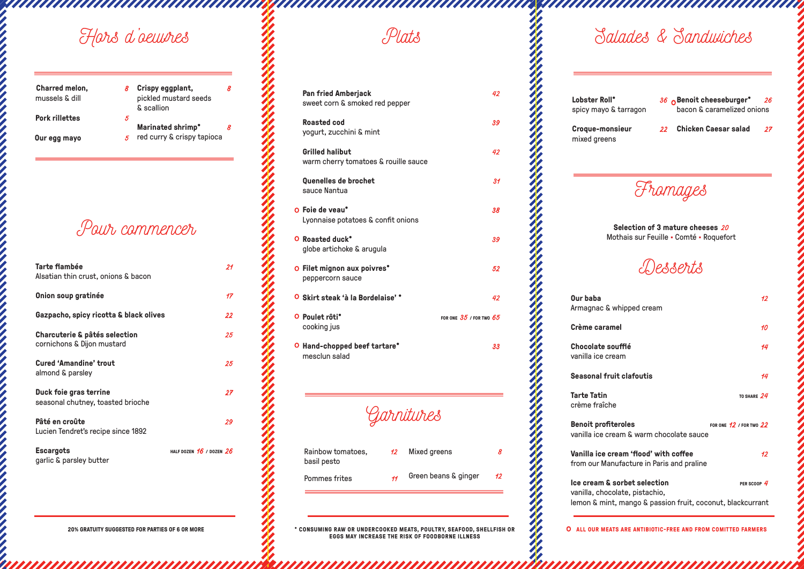<u> ANAHAMAN ANAHAMAN ANAHAMAN</u>

*Garnitures*

**\* CONSUMING RAW OR UNDERCOOKED MEATS, POULTRY, SEAFOOD, SHELLFISH OR EGGS MAY INCREASE THE RISK OF FOODBORNE ILLNESS**

**ALL OUR MEATS ARE ANTIBIOTIC-FREE AND FROM COMITTED FARMERS** O

*Pour commencer*

*Plats*

| Charred melon,<br>mussels & dill |    | Crispy eggplant,<br>pickled mustard seeds<br>& scallion |  |
|----------------------------------|----|---------------------------------------------------------|--|
| <b>Pork rillettes</b>            | 5. |                                                         |  |
|                                  |    | Marinated shrimp*                                       |  |
| Our egg mayo                     |    | red curry & crispy tapioca                              |  |

| Tarte flambée<br>Alsatian thin crust, onions & bacon                   | 21                           |
|------------------------------------------------------------------------|------------------------------|
| Onion soup gratinée                                                    | 17                           |
| Gazpacho, spicy ricotta & black olives                                 | 22                           |
| <b>Charcuterie &amp; pâtés selection</b><br>cornichons & Dijon mustard | 25                           |
| <b>Cured 'Amandine' trout</b><br>almond & parsley                      | 25                           |
| Duck foie gras terrine<br>seasonal chutney, toasted brioche            | 27                           |
| Pâté en croûte<br>Lucien Tendret's recipe since 1892                   | 29                           |
| <b>Escargots</b><br>garlic & parsley butter                            | HALF DOZEN $16$ / DOZEN $26$ |



**Pan fried Amberjack** *42*

sweet corn & smoked red pepper

**Roasted cod** *39*

yogurt, zucchini & mint

O **Foie de veau\*** *38*

**Grilled halibut** *42*

O **Roasted duck\*** *39*

warm cherry tomatoes & rouille sauce

O **Filet mignon aux poivres\*** *52*

aanaanaanaa waanaanaanaanaanaanaanaa

Lobster Roll\*

**Quenelles de brochet** *31*

O **Skirt steak 'à la Bordelaise' \*** *42*

sauce Nantua

Lyonnaise potatoes & confit onions

globe artichoke & arugula

peppercorn sauce

cooking jus

**Hand-chopped beef tartare\*** *33* O

FOR ONE  $35$  / FOR TWO  $65$ 

mesclun salad

Rainbow tomatoes,

basil pesto

Pommes frites *11*

Mixed greens *8*

Green beans & ginger 12

O Poulet rôti\*

**Croque-monsieur** *22* mixed greens

**Our baba** Armagnac &

**Crème cara** 

**Chocolate** s vanilla ice cr

**Seasonal fr** 

**Tarte Tatin** crème fraîch

> **Benoit profit** vanilla ice c

> **Vanilla ice** from our Ma

**Ice cream &** vanilla, cho lemon & min

*Fromages*

**Selection of 3 mature cheeses** *20* Mothais sur Feuille • Comté • Roquefort



| whipped cream <b>w</b>                                                                              | 12.                         |
|-----------------------------------------------------------------------------------------------------|-----------------------------|
| ımel                                                                                                | 10                          |
| soufflé<br>ream:                                                                                    | 14                          |
| r <b>uit clafoutis</b>                                                                              | 14                          |
| he                                                                                                  | TO SHARE $24$               |
| īteroles<br>ream & warm chocolate sauce                                                             | FOR ONE $12$ / FOR TWO $22$ |
| cream 'flood' with coffee<br>anufacture in Paris and praline                                        | 12 <sup>1</sup>             |
| <b>i</b> sorbet selection<br>colate, pistachio,<br>nt, mango & passion fruit, coconut, blackcurrant | PER SCOOP $4$               |
|                                                                                                     |                             |